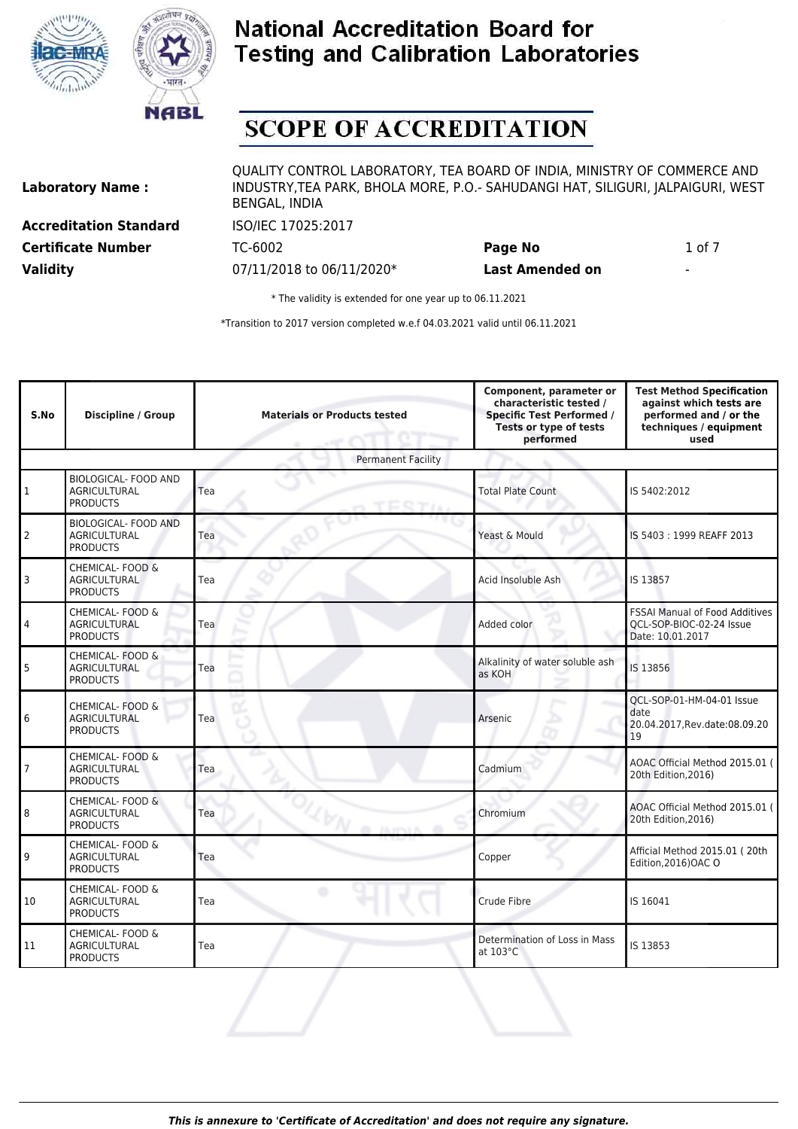



# **SCOPE OF ACCREDITATION**

**Laboratory Name : Accreditation Standard** ISO/IEC 17025:2017

QUALITY CONTROL LABORATORY, TEA BOARD OF INDIA, MINISTRY OF COMMERCE AND INDUSTRY,TEA PARK, BHOLA MORE, P.O.- SAHUDANGI HAT, SILIGURI, JALPAIGURI, WEST BENGAL, INDIA

**Certificate Number** TC-6002 **Page No** 1 of 7 **Validity** 07/11/2018 to 06/11/2020\* **Last Amended on** -

\* The validity is extended for one year up to 06.11.2021

| S.No           | <b>Discipline / Group</b>                                             | <b>Materials or Products tested</b> | Component, parameter or<br>characteristic tested /<br><b>Specific Test Performed /</b><br>Tests or type of tests<br>performed | <b>Test Method Specification</b><br>against which tests are<br>performed and / or the<br>techniques / equipment<br>used |
|----------------|-----------------------------------------------------------------------|-------------------------------------|-------------------------------------------------------------------------------------------------------------------------------|-------------------------------------------------------------------------------------------------------------------------|
|                |                                                                       | <b>Permanent Facility</b>           |                                                                                                                               |                                                                                                                         |
| 1              | <b>BIOLOGICAL- FOOD AND</b><br><b>AGRICULTURAL</b><br><b>PRODUCTS</b> | Tea<br>TERTA                        | <b>Total Plate Count</b>                                                                                                      | IS 5402:2012                                                                                                            |
| $\overline{2}$ | <b>BIOLOGICAL- FOOD AND</b><br>AGRICULTURAL<br><b>PRODUCTS</b>        | Tea                                 | Yeast & Mould                                                                                                                 | IS 5403: 1999 REAFF 2013                                                                                                |
| 3              | CHEMICAL- FOOD &<br><b>AGRICULTURAL</b><br><b>PRODUCTS</b>            | Tea                                 | Acid Insoluble Ash                                                                                                            | IS 13857                                                                                                                |
| 4              | CHEMICAL- FOOD &<br>AGRICULTURAL<br><b>PRODUCTS</b>                   | Tea                                 | Added color                                                                                                                   | <b>FSSAI Manual of Food Additives</b><br>QCL-SOP-BIOC-02-24 Issue<br>Date: 10.01.2017                                   |
| 5              | CHEMICAL- FOOD &<br>AGRICULTURAL<br><b>PRODUCTS</b>                   | Tea                                 | Alkalinity of water soluble ash<br>as KOH                                                                                     | IS 13856                                                                                                                |
| 6              | CHEMICAL- FOOD &<br><b>AGRICULTURAL</b><br><b>PRODUCTS</b>            | Tea                                 | Arsenic                                                                                                                       | QCL-SOP-01-HM-04-01 Issue<br>date<br>20.04.2017, Rev.date: 08.09.20<br>19                                               |
| $\overline{7}$ | CHEMICAL- FOOD &<br><b>AGRICULTURAL</b><br><b>PRODUCTS</b>            | Tea                                 | Cadmium                                                                                                                       | AOAC Official Method 2015.01 (<br>20th Edition, 2016)                                                                   |
| 8              | CHEMICAL- FOOD &<br><b>AGRICULTURAL</b><br><b>PRODUCTS</b>            | Tea<br>20 Janet                     | Chromium                                                                                                                      | AOAC Official Method 2015.01 (<br>20th Edition, 2016)                                                                   |
| 9              | CHEMICAL- FOOD &<br>AGRICULTURAL<br><b>PRODUCTS</b>                   | Tea                                 | Copper                                                                                                                        | Afficial Method 2015.01 (20th<br>Edition, 2016) OAC O                                                                   |
| 10             | CHEMICAL- FOOD &<br><b>AGRICULTURAL</b><br><b>PRODUCTS</b>            | Tea                                 | Crude Fibre                                                                                                                   | IS 16041                                                                                                                |
| 11             | CHEMICAL- FOOD &<br><b>AGRICULTURAL</b><br><b>PRODUCTS</b>            | Tea                                 | Determination of Loss in Mass<br>at 103°C                                                                                     | IS 13853                                                                                                                |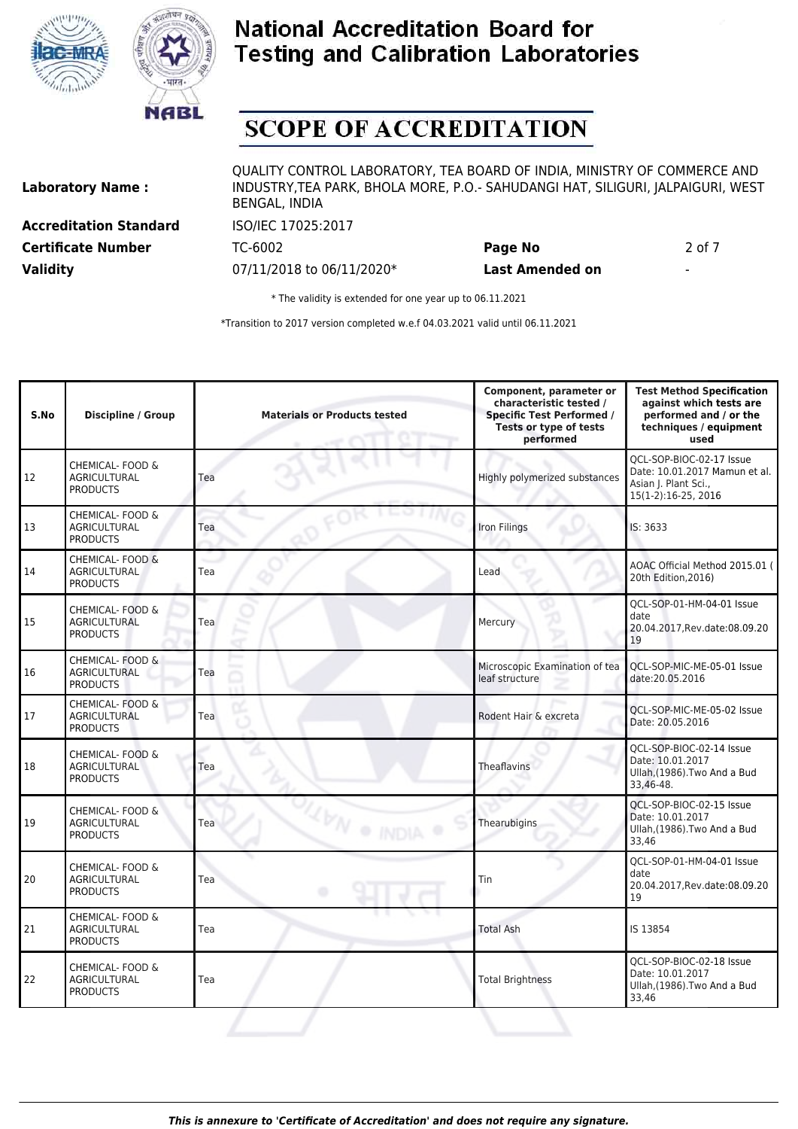



# **SCOPE OF ACCREDITATION**

**Laboratory Name : Accreditation Standard** ISO/IEC 17025:2017

**Validity** 07/11/2018 to 06/11/2020\* **Last Amended on** -

QUALITY CONTROL LABORATORY, TEA BOARD OF INDIA, MINISTRY OF COMMERCE AND INDUSTRY,TEA PARK, BHOLA MORE, P.O.- SAHUDANGI HAT, SILIGURI, JALPAIGURI, WEST BENGAL, INDIA

**Certificate Number** TC-6002 **Page No** 2 of 7

\* The validity is extended for one year up to 06.11.2021

| S.No | <b>Discipline / Group</b>                                  | <b>Materials or Products tested</b> | Component, parameter or<br>characteristic tested /<br><b>Specific Test Performed /</b><br>Tests or type of tests<br>performed | <b>Test Method Specification</b><br>against which tests are<br>performed and / or the<br>techniques / equipment<br>used |
|------|------------------------------------------------------------|-------------------------------------|-------------------------------------------------------------------------------------------------------------------------------|-------------------------------------------------------------------------------------------------------------------------|
| 12   | CHEMICAL- FOOD &<br><b>AGRICULTURAL</b><br><b>PRODUCTS</b> | Tea                                 | Highly polymerized substances                                                                                                 | OCL-SOP-BIOC-02-17 Issue<br>Date: 10.01.2017 Mamun et al.<br>Asian J. Plant Sci.,<br>15(1-2):16-25, 2016                |
| 13   | CHEMICAL- FOOD &<br><b>AGRICULTURAL</b><br><b>PRODUCTS</b> | Tea                                 | Iron Filings                                                                                                                  | IS: 3633                                                                                                                |
| 14   | CHEMICAL- FOOD &<br><b>AGRICULTURAL</b><br><b>PRODUCTS</b> | Tea                                 | Lead                                                                                                                          | AOAC Official Method 2015.01 (<br>20th Edition, 2016)                                                                   |
| 15   | CHEMICAL- FOOD &<br><b>AGRICULTURAL</b><br><b>PRODUCTS</b> | Tea                                 | Mercury                                                                                                                       | OCL-SOP-01-HM-04-01 Issue<br>date<br>20.04.2017, Rev.date: 08.09.20<br>19                                               |
| 16   | CHEMICAL- FOOD &<br><b>AGRICULTURAL</b><br><b>PRODUCTS</b> | Tea                                 | Microscopic Examination of tea<br>leaf structure                                                                              | QCL-SOP-MIC-ME-05-01 Issue<br>date:20.05.2016                                                                           |
| 17   | CHEMICAL- FOOD &<br><b>AGRICULTURAL</b><br><b>PRODUCTS</b> | Tea                                 | Rodent Hair & excreta                                                                                                         | QCL-SOP-MIC-ME-05-02 Issue<br>Date: 20.05.2016                                                                          |
| 18   | CHEMICAL- FOOD &<br><b>AGRICULTURAL</b><br><b>PRODUCTS</b> | Tea                                 | Theaflavins                                                                                                                   | OCL-SOP-BIOC-02-14 Issue<br>Date: 10.01.2017<br>Ullah, (1986). Two And a Bud<br>33,46-48.                               |
| 19   | CHEMICAL- FOOD &<br><b>AGRICULTURAL</b><br><b>PRODUCTS</b> | <b>LEW O INDIA</b><br>Tea           | Thearubigins                                                                                                                  | QCL-SOP-BIOC-02-15 Issue<br>Date: 10.01.2017<br>Ullah, (1986). Two And a Bud<br>33,46                                   |
| 20   | CHEMICAL- FOOD &<br><b>AGRICULTURAL</b><br><b>PRODUCTS</b> | Tea                                 | Tin                                                                                                                           | OCL-SOP-01-HM-04-01 Issue<br>date<br>20.04.2017, Rev.date: 08.09.20<br>19                                               |
| 21   | CHEMICAL- FOOD &<br><b>AGRICULTURAL</b><br><b>PRODUCTS</b> | Tea                                 | <b>Total Ash</b>                                                                                                              | IS 13854                                                                                                                |
| 22   | CHEMICAL- FOOD &<br><b>AGRICULTURAL</b><br><b>PRODUCTS</b> | Tea                                 | <b>Total Brightness</b>                                                                                                       | QCL-SOP-BIOC-02-18 Issue<br>Date: 10.01.2017<br>Ullah, (1986). Two And a Bud<br>33.46                                   |
|      |                                                            |                                     |                                                                                                                               |                                                                                                                         |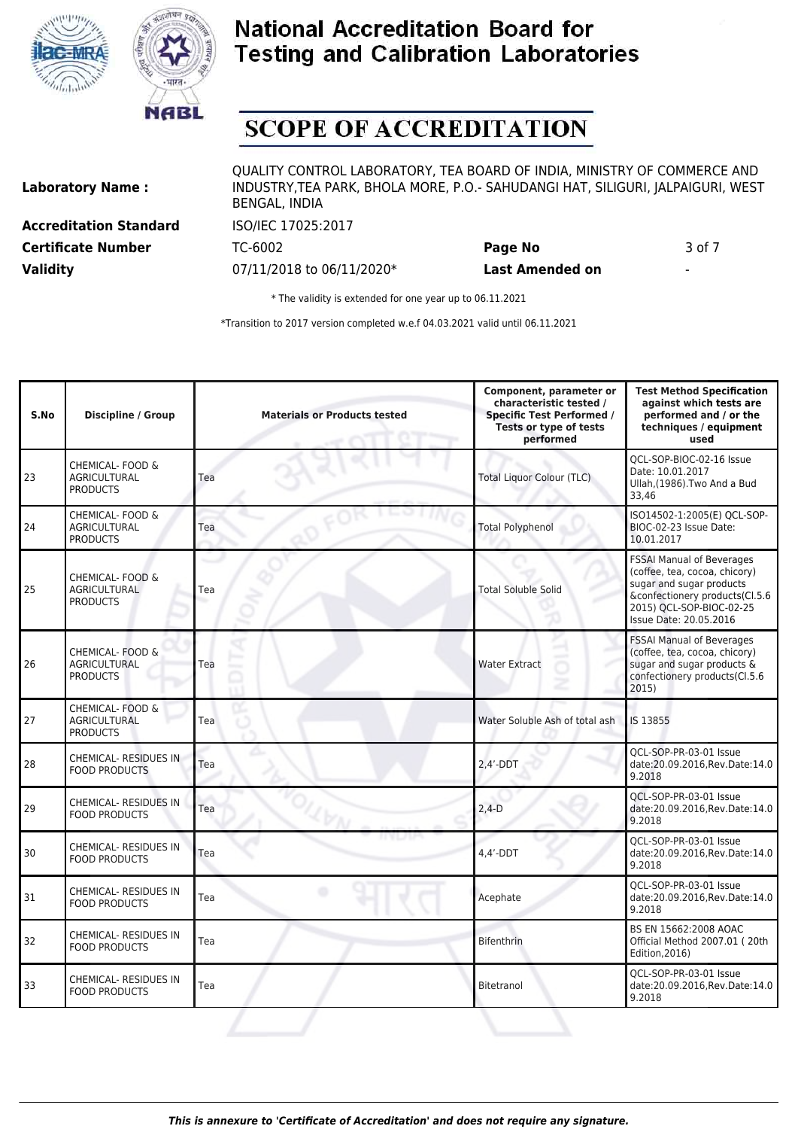



# **SCOPE OF ACCREDITATION**

**Laboratory Name : Accreditation Standard** ISO/IEC 17025:2017

QUALITY CONTROL LABORATORY, TEA BOARD OF INDIA, MINISTRY OF COMMERCE AND INDUSTRY,TEA PARK, BHOLA MORE, P.O.- SAHUDANGI HAT, SILIGURI, JALPAIGURI, WEST BENGAL, INDIA

**Validity** 07/11/2018 to 06/11/2020\* **Last Amended on** -

**Certificate Number** TC-6002 **Page No** 3 of 7

\* The validity is extended for one year up to 06.11.2021

| S.No | <b>Discipline / Group</b>                                  | <b>Materials or Products tested</b> | Component, parameter or<br>characteristic tested /<br><b>Specific Test Performed /</b><br>Tests or type of tests<br>performed | <b>Test Method Specification</b><br>against which tests are<br>performed and / or the<br>techniques / equipment<br>used                                                               |
|------|------------------------------------------------------------|-------------------------------------|-------------------------------------------------------------------------------------------------------------------------------|---------------------------------------------------------------------------------------------------------------------------------------------------------------------------------------|
| 23   | CHEMICAL- FOOD &<br><b>AGRICULTURAL</b><br><b>PRODUCTS</b> | Tea                                 | <b>Total Liquor Colour (TLC)</b>                                                                                              | QCL-SOP-BIOC-02-16 Issue<br>Date: 10.01.2017<br>Ullah, (1986). Two And a Bud<br>33,46                                                                                                 |
| 24   | CHEMICAL- FOOD &<br><b>AGRICULTURAL</b><br><b>PRODUCTS</b> | Tea                                 | <b>Total Polyphenol</b>                                                                                                       | ISO14502-1:2005(E) QCL-SOP-<br>BIOC-02-23 Issue Date:<br>10.01.2017                                                                                                                   |
| 25   | CHEMICAL- FOOD &<br><b>AGRICULTURAL</b><br><b>PRODUCTS</b> | Tea                                 | <b>Total Soluble Solid</b>                                                                                                    | <b>FSSAI Manual of Beverages</b><br>(coffee, tea, cocoa, chicory)<br>sugar and sugar products<br>&confectionery products(Cl.5.6<br>2015) QCL-SOP-BIOC-02-25<br>Issue Date: 20.05.2016 |
| 26   | CHEMICAL- FOOD &<br><b>AGRICULTURAL</b><br><b>PRODUCTS</b> | Tea                                 | <b>Water Extract</b>                                                                                                          | FSSAI Manual of Beverages<br>(coffee, tea, cocoa, chicory)<br>sugar and sugar products &<br>confectionery products(Cl.5.6<br>2015)                                                    |
| 27   | CHEMICAL- FOOD &<br><b>AGRICULTURAL</b><br><b>PRODUCTS</b> | Tea                                 | Water Soluble Ash of total ash                                                                                                | IS 13855                                                                                                                                                                              |
| 28   | <b>CHEMICAL- RESIDUES IN</b><br><b>FOOD PRODUCTS</b>       | Tea                                 | $2,4'$ -DDT                                                                                                                   | QCL-SOP-PR-03-01 Issue<br>date:20.09.2016, Rev.Date:14.0<br>9.2018                                                                                                                    |
| 29   | <b>CHEMICAL- RESIDUES IN</b><br><b>FOOD PRODUCTS</b>       | Tea                                 | $2,4-D$                                                                                                                       | OCL-SOP-PR-03-01 Issue<br>date:20.09.2016, Rev. Date: 14.0<br>9.2018                                                                                                                  |
| 30   | CHEMICAL- RESIDUES IN<br><b>FOOD PRODUCTS</b>              | Tea                                 | $4.4'$ -DDT                                                                                                                   | QCL-SOP-PR-03-01 Issue<br>date:20.09.2016, Rev.Date:14.0<br>9.2018                                                                                                                    |
| 31   | <b>CHEMICAL- RESIDUES IN</b><br><b>FOOD PRODUCTS</b>       | Tea                                 | Acephate                                                                                                                      | QCL-SOP-PR-03-01 Issue<br>date:20.09.2016, Rev. Date: 14.0<br>9.2018                                                                                                                  |
| 32   | <b>CHEMICAL- RESIDUES IN</b><br><b>FOOD PRODUCTS</b>       | Tea                                 | <b>Bifenthrin</b>                                                                                                             | BS EN 15662:2008 AOAC<br>Official Method 2007.01 (20th<br>Edition, 2016)                                                                                                              |
| 33   | <b>CHEMICAL- RESIDUES IN</b><br><b>FOOD PRODUCTS</b>       | Tea                                 | Bitetranol                                                                                                                    | QCL-SOP-PR-03-01 Issue<br>date:20.09.2016, Rev.Date:14.0<br>9.2018                                                                                                                    |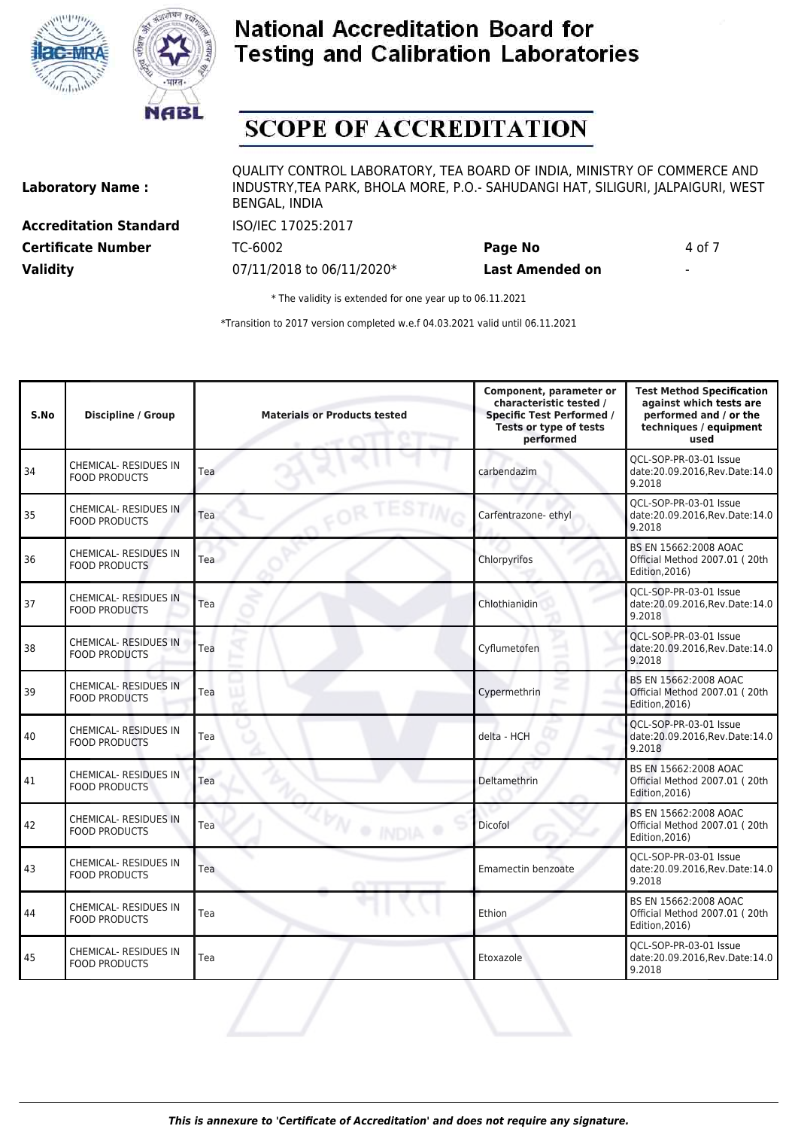



# **SCOPE OF ACCREDITATION**

**Laboratory Name :**

**Accreditation Standard** ISO/IEC 17025:2017 **Certificate Number** TC-6002 **Page No** 4 of 7 **Validity** 07/11/2018 to 06/11/2020\* **Last Amended on** -

QUALITY CONTROL LABORATORY, TEA BOARD OF INDIA, MINISTRY OF COMMERCE AND INDUSTRY,TEA PARK, BHOLA MORE, P.O.- SAHUDANGI HAT, SILIGURI, JALPAIGURI, WEST BENGAL, INDIA

\* The validity is extended for one year up to 06.11.2021

| S.No | <b>Discipline / Group</b>                            | <b>Materials or Products tested</b> | Component, parameter or<br>characteristic tested /<br><b>Specific Test Performed /</b><br>Tests or type of tests<br>performed | <b>Test Method Specification</b><br>against which tests are<br>performed and / or the<br>techniques / equipment<br>used |
|------|------------------------------------------------------|-------------------------------------|-------------------------------------------------------------------------------------------------------------------------------|-------------------------------------------------------------------------------------------------------------------------|
| 34   | <b>CHEMICAL- RESIDUES IN</b><br><b>FOOD PRODUCTS</b> | Tea                                 | carbendazim                                                                                                                   | OCL-SOP-PR-03-01 Issue<br>date:20.09.2016, Rev. Date: 14.0<br>9.2018                                                    |
| 35   | <b>CHEMICAL- RESIDUES IN</b><br><b>FOOD PRODUCTS</b> | Tea                                 | Carfentrazone- ethyl                                                                                                          | OCL-SOP-PR-03-01 Issue<br>date:20.09.2016.Rev.Date:14.0<br>9.2018                                                       |
| 36   | <b>CHEMICAL- RESIDUES IN</b><br><b>FOOD PRODUCTS</b> | Tea                                 | Chlorpyrifos                                                                                                                  | BS EN 15662:2008 AOAC<br>Official Method 2007.01 (20th<br>Edition, 2016)                                                |
| 37   | <b>CHEMICAL- RESIDUES IN</b><br><b>FOOD PRODUCTS</b> | Tea                                 | Chlothianidin                                                                                                                 | OCL-SOP-PR-03-01 Issue<br>date:20.09.2016, Rev. Date: 14.0<br>9.2018                                                    |
| 38   | <b>CHEMICAL- RESIDUES IN</b><br><b>FOOD PRODUCTS</b> | Tea                                 | Cyflumetofen                                                                                                                  | OCL-SOP-PR-03-01 Issue<br>date:20.09.2016, Rev. Date: 14.0<br>9.2018                                                    |
| 39   | CHEMICAL- RESIDUES IN<br><b>FOOD PRODUCTS</b>        | Tea                                 | Cypermethrin                                                                                                                  | BS EN 15662:2008 AOAC<br>Official Method 2007.01 (20th<br>Edition, 2016)                                                |
| 40   | <b>CHEMICAL- RESIDUES IN</b><br><b>FOOD PRODUCTS</b> | Tea                                 | delta - HCH                                                                                                                   | QCL-SOP-PR-03-01 Issue<br>date:20.09.2016, Rev. Date: 14.0<br>9.2018                                                    |
| 41   | <b>CHEMICAL- RESIDUES IN</b><br><b>FOOD PRODUCTS</b> | Tea                                 | Deltamethrin                                                                                                                  | BS EN 15662:2008 AOAC<br>Official Method 2007.01 (20th<br>Edition, 2016)                                                |
| 42   | <b>CHEMICAL- RESIDUES IN</b><br>FOOD PRODUCTS        | Tea<br><sup>O</sup> IND             | Dicofol                                                                                                                       | BS EN 15662:2008 AOAC<br>Official Method 2007.01 (20th<br>Edition, 2016)                                                |
| 43   | <b>CHEMICAL- RESIDUES IN</b><br><b>FOOD PRODUCTS</b> | Tea                                 | Emamectin benzoate                                                                                                            | QCL-SOP-PR-03-01 Issue<br>date:20.09.2016, Rev. Date: 14.0<br>9.2018                                                    |
| 44   | <b>CHEMICAL- RESIDUES IN</b><br><b>FOOD PRODUCTS</b> | Tea                                 | Ethion                                                                                                                        | BS EN 15662:2008 AOAC<br>Official Method 2007.01 (20th<br>Edition, 2016)                                                |
| 45   | <b>CHEMICAL- RESIDUES IN</b><br><b>FOOD PRODUCTS</b> | Tea                                 | Etoxazole                                                                                                                     | QCL-SOP-PR-03-01 Issue<br>date:20.09.2016, Rev. Date: 14.0<br>9.2018                                                    |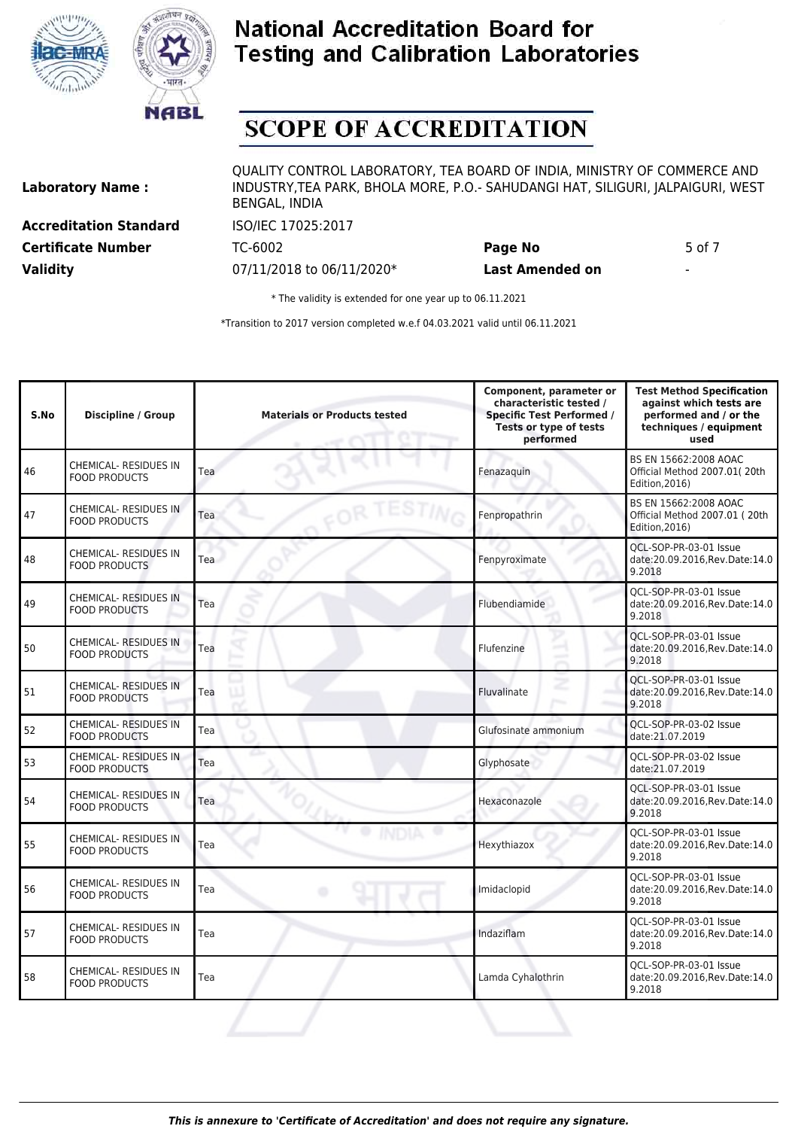



# **SCOPE OF ACCREDITATION**

**Laboratory Name :**

**Accreditation Standard** ISO/IEC 17025:2017 **Validity** 07/11/2018 to 06/11/2020\* **Last Amended on** -

QUALITY CONTROL LABORATORY, TEA BOARD OF INDIA, MINISTRY OF COMMERCE AND INDUSTRY,TEA PARK, BHOLA MORE, P.O.- SAHUDANGI HAT, SILIGURI, JALPAIGURI, WEST BENGAL, INDIA

**Certificate Number TC-6002 Page No** 5 of 7

\* The validity is extended for one year up to 06.11.2021

| S.No | <b>Discipline / Group</b>                            | <b>Materials or Products tested</b> | Component, parameter or<br>characteristic tested /<br><b>Specific Test Performed /</b><br>Tests or type of tests<br>performed | <b>Test Method Specification</b><br>against which tests are<br>performed and / or the<br>techniques / equipment<br>used |
|------|------------------------------------------------------|-------------------------------------|-------------------------------------------------------------------------------------------------------------------------------|-------------------------------------------------------------------------------------------------------------------------|
| 46   | <b>CHEMICAL- RESIDUES IN</b><br><b>FOOD PRODUCTS</b> | Tea                                 | Fenazaguin                                                                                                                    | BS EN 15662:2008 AOAC<br>Official Method 2007.01(20th<br>Edition, 2016)                                                 |
| 47   | <b>CHEMICAL- RESIDUES IN</b><br><b>FOOD PRODUCTS</b> | FOR TESTIN<br>Tea                   | Fenpropathrin                                                                                                                 | BS EN 15662:2008 AOAC<br>Official Method 2007.01 (20th<br>Edition, 2016)                                                |
| 48   | <b>CHEMICAL- RESIDUES IN</b><br><b>FOOD PRODUCTS</b> | Tea                                 | Fenpyroximate                                                                                                                 | OCL-SOP-PR-03-01 Issue<br>date:20.09.2016, Rev. Date: 14.0<br>9.2018                                                    |
| 49   | <b>CHEMICAL- RESIDUES IN</b><br><b>FOOD PRODUCTS</b> | Tea                                 | Flubendiamide                                                                                                                 | OCL-SOP-PR-03-01 Issue<br>date:20.09.2016, Rev. Date: 14.0<br>9.2018                                                    |
| 50   | <b>CHEMICAL- RESIDUES IN</b><br><b>FOOD PRODUCTS</b> | Tea                                 | Flufenzine                                                                                                                    | QCL-SOP-PR-03-01 Issue<br>date:20.09.2016, Rev. Date: 14.0<br>9.2018                                                    |
| 51   | <b>CHEMICAL- RESIDUES IN</b><br><b>FOOD PRODUCTS</b> | Tea                                 | z<br>Fluvalinate                                                                                                              | QCL-SOP-PR-03-01 Issue<br>date:20.09.2016, Rev. Date: 14.0<br>9.2018                                                    |
| 52   | <b>CHEMICAL- RESIDUES IN</b><br><b>FOOD PRODUCTS</b> | Tea                                 | Glufosinate ammonium                                                                                                          | QCL-SOP-PR-03-02 Issue<br>date:21.07.2019                                                                               |
| 53   | <b>CHEMICAL- RESIDUES IN</b><br><b>FOOD PRODUCTS</b> | Tea                                 | Glyphosate                                                                                                                    | QCL-SOP-PR-03-02 Issue<br>date:21.07.2019                                                                               |
| 54   | <b>CHEMICAL- RESIDUES IN</b><br><b>FOOD PRODUCTS</b> | Tea                                 | Hexaconazole                                                                                                                  | QCL-SOP-PR-03-01 Issue<br>date:20.09.2016, Rev.Date:14.0<br>9.2018                                                      |
| 55   | <b>CHEMICAL- RESIDUES IN</b><br><b>FOOD PRODUCTS</b> | Tea                                 | Hexythiazox                                                                                                                   | QCL-SOP-PR-03-01 Issue<br>date:20.09.2016, Rev.Date:14.0<br>9.2018                                                      |
| 56   | <b>CHEMICAL- RESIDUES IN</b><br><b>FOOD PRODUCTS</b> | Tea                                 | Imidaclopid                                                                                                                   | QCL-SOP-PR-03-01 Issue<br>date:20.09.2016, Rev. Date: 14.0<br>9.2018                                                    |
| 57   | <b>CHEMICAL- RESIDUES IN</b><br><b>FOOD PRODUCTS</b> | Tea                                 | Indaziflam                                                                                                                    | OCL-SOP-PR-03-01 Issue<br>date:20.09.2016, Rev. Date: 14.0<br>9.2018                                                    |
| 58   | CHEMICAL- RESIDUES IN<br><b>FOOD PRODUCTS</b>        | Tea                                 | Lamda Cyhalothrin                                                                                                             | QCL-SOP-PR-03-01 Issue<br>date:20.09.2016, Rev. Date: 14.0<br>9.2018                                                    |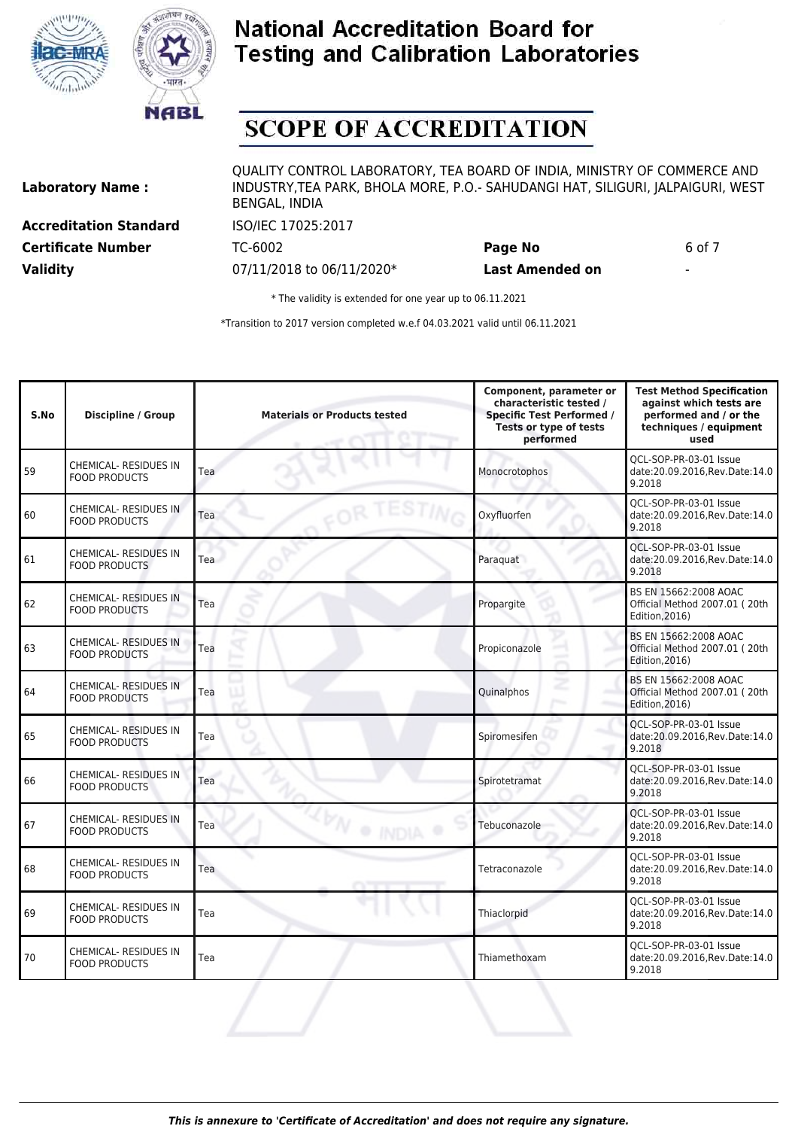



# **SCOPE OF ACCREDITATION**

**Laboratory Name :**

**Accreditation Standard** ISO/IEC 17025:2017 **Certificate Number** TC-6002 **Page No** 6 of 7 **Validity** 07/11/2018 to 06/11/2020\* **Last Amended on** -

QUALITY CONTROL LABORATORY, TEA BOARD OF INDIA, MINISTRY OF COMMERCE AND INDUSTRY,TEA PARK, BHOLA MORE, P.O.- SAHUDANGI HAT, SILIGURI, JALPAIGURI, WEST BENGAL, INDIA

\* The validity is extended for one year up to 06.11.2021

| S.No | <b>Discipline / Group</b>                            | <b>Materials or Products tested</b> | Component, parameter or<br>characteristic tested /<br><b>Specific Test Performed /</b><br>Tests or type of tests<br>performed | <b>Test Method Specification</b><br>against which tests are<br>performed and / or the<br>techniques / equipment<br>used |
|------|------------------------------------------------------|-------------------------------------|-------------------------------------------------------------------------------------------------------------------------------|-------------------------------------------------------------------------------------------------------------------------|
| 59   | CHEMICAL- RESIDUES IN<br><b>FOOD PRODUCTS</b>        | Tea                                 | Monocrotophos                                                                                                                 | QCL-SOP-PR-03-01 Issue<br>date:20.09.2016, Rev. Date: 14.0<br>9.2018                                                    |
| 60   | <b>CHEMICAL- RESIDUES IN</b><br><b>FOOD PRODUCTS</b> | OR TESTING<br>Tea                   | Oxyfluorfen                                                                                                                   | OCL-SOP-PR-03-01 Issue<br>date:20.09.2016, Rev. Date: 14.0<br>9.2018                                                    |
| 61   | <b>CHEMICAL- RESIDUES IN</b><br><b>FOOD PRODUCTS</b> | Tea                                 | Paraquat                                                                                                                      | OCL-SOP-PR-03-01 Issue<br>date:20.09.2016, Rev. Date: 14.0<br>9.2018                                                    |
| 62   | <b>CHEMICAL- RESIDUES IN</b><br><b>FOOD PRODUCTS</b> | Tea                                 | Propargite                                                                                                                    | BS EN 15662:2008 AOAC<br>Official Method 2007.01 (20th<br>Edition, 2016)                                                |
| 63   | <b>CHEMICAL- RESIDUES IN</b><br><b>FOOD PRODUCTS</b> | Tea                                 | Propiconazole                                                                                                                 | BS EN 15662:2008 AOAC<br>Official Method 2007.01 (20th<br>Edition, 2016)                                                |
| 64   | <b>CHEMICAL- RESIDUES IN</b><br><b>FOOD PRODUCTS</b> | Tea                                 | Quinalphos                                                                                                                    | BS EN 15662:2008 AOAC<br>Official Method 2007.01 (20th<br>Edition, 2016)                                                |
| 65   | <b>CHEMICAL- RESIDUES IN</b><br><b>FOOD PRODUCTS</b> | Tea                                 | Spiromesifen                                                                                                                  | QCL-SOP-PR-03-01 Issue<br>date:20.09.2016, Rev. Date: 14.0<br>9.2018                                                    |
| 66   | <b>CHEMICAL- RESIDUES IN</b><br><b>FOOD PRODUCTS</b> | Tea                                 | Spirotetramat                                                                                                                 | QCL-SOP-PR-03-01 Issue<br>date:20.09.2016, Rev. Date: 14.0<br>9.2018                                                    |
| 67   | <b>CHEMICAL- RESIDUES IN</b><br><b>FOOD PRODUCTS</b> | 2N<br>Tea<br>· INDIA                | Tebuconazole                                                                                                                  | OCL-SOP-PR-03-01 Issue<br>date:20.09.2016, Rev. Date: 14.0<br>9.2018                                                    |
| 68   | <b>CHEMICAL- RESIDUES IN</b><br><b>FOOD PRODUCTS</b> | Tea                                 | Tetraconazole                                                                                                                 | OCL-SOP-PR-03-01 Issue<br>date:20.09.2016, Rev. Date: 14.0<br>9.2018                                                    |
| 69   | <b>CHEMICAL- RESIDUES IN</b><br><b>FOOD PRODUCTS</b> | Tea                                 | Thiaclorpid                                                                                                                   | OCL-SOP-PR-03-01 Issue<br>date:20.09.2016, Rev. Date: 14.0<br>9.2018                                                    |
| 70   | CHEMICAL- RESIDUES IN<br><b>FOOD PRODUCTS</b>        | Tea                                 | Thiamethoxam                                                                                                                  | QCL-SOP-PR-03-01 Issue<br>date:20.09.2016, Rev. Date: 14.0<br>9.2018                                                    |